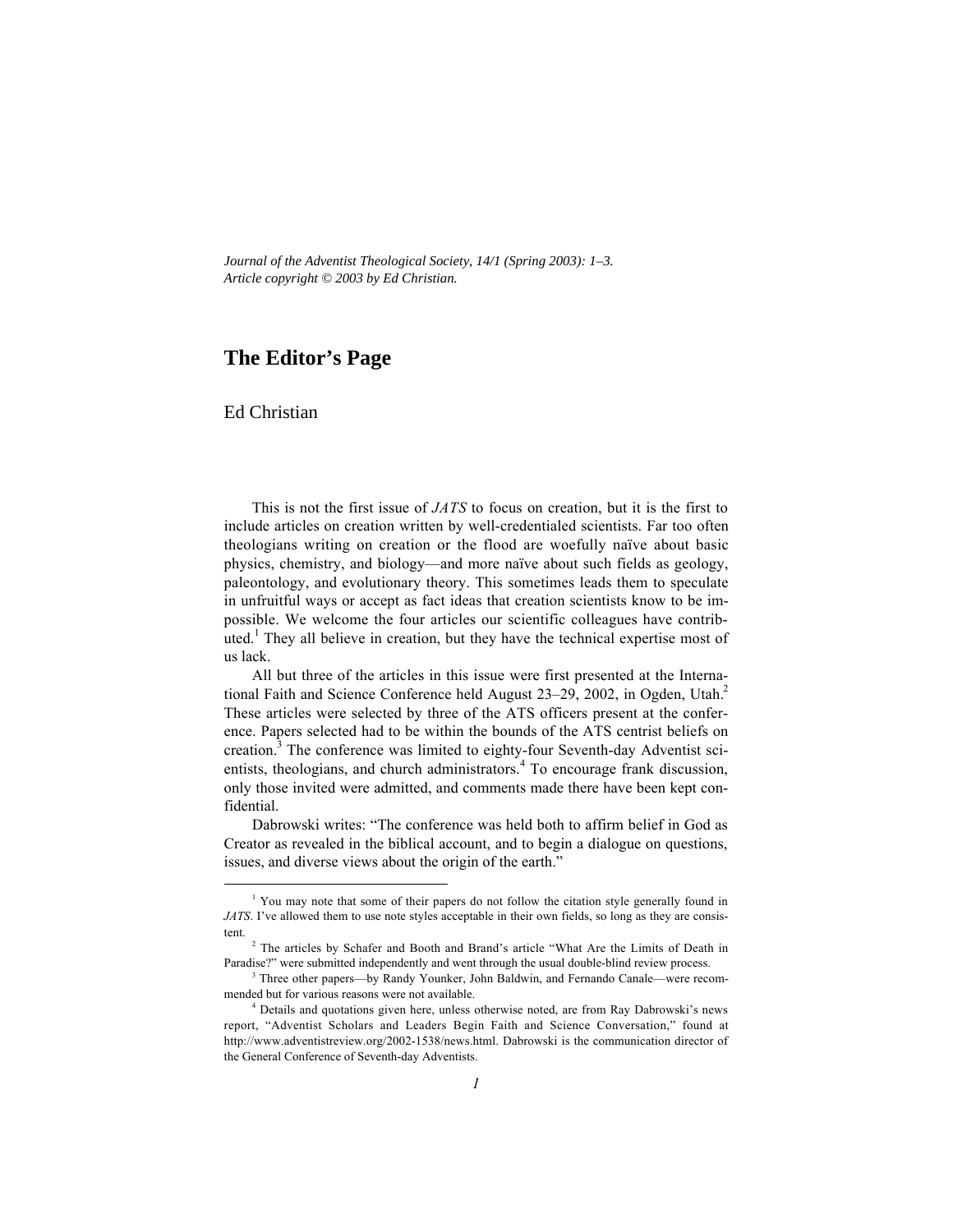*Journal of the Adventist Theological Society, 14/1 (Spring 2003): 1–3. Article copyright © 2003 by Ed Christian.*

## **The Editor's Page**

Ed Christian

This is not the first issue of *JATS* to focus on creation, but it is the first to include articles on creation written by well-credentialed scientists. Far too often theologians writing on creation or the flood are woefully naïve about basic physics, chemistry, and biology—and more naïve about such fields as geology, paleontology, and evolutionary theory. This sometimes leads them to speculate in unfruitful ways or accept as fact ideas that creation scientists know to be impossible. We welcome the four articles our scientific colleagues have contrib- $\frac{1}{2}$  They all believe in creation, but they have the technical expertise most of us lack.

All but three of the articles in this issue were first presented at the International Faith and Science Conference held August 23–29, 2002, in Ogden, Utah.<sup>2</sup> These articles were selected by three of the ATS officers present at the conference. Papers selected had to be within the bounds of the ATS centrist beliefs on creation.<sup>3</sup> The conference was limited to eighty-four Seventh-day Adventist scientists, theologians, and church administrators.<sup>4</sup> To encourage frank discussion, only those invited were admitted, and comments made there have been kept confidential.

Dabrowski writes: "The conference was held both to affirm belief in God as Creator as revealed in the biblical account, and to begin a dialogue on questions, issues, and diverse views about the origin of the earth."

 $\frac{1}{1}$ <sup>1</sup> You may note that some of their papers do not follow the citation style generally found in *JATS*. I've allowed them to use note styles acceptable in their own fields, so long as they are consistent.

<sup>&</sup>lt;sup>2</sup> The articles by Schafer and Booth and Brand's article "What Are the Limits of Death in Paradise?" were submitted independently and went through the usual double-blind review process.

<sup>&</sup>lt;sup>3</sup> Three other papers—by Randy Younker, John Baldwin, and Fernando Canale—were recommended but for various reasons were not available.

<sup>&</sup>lt;sup>4</sup> Details and quotations given here, unless otherwise noted, are from Ray Dabrowski's news report, "Adventist Scholars and Leaders Begin Faith and Science Conversation," found at http://www.adventistreview.org/2002-1538/news.html. Dabrowski is the communication director of the General Conference of Seventh-day Adventists.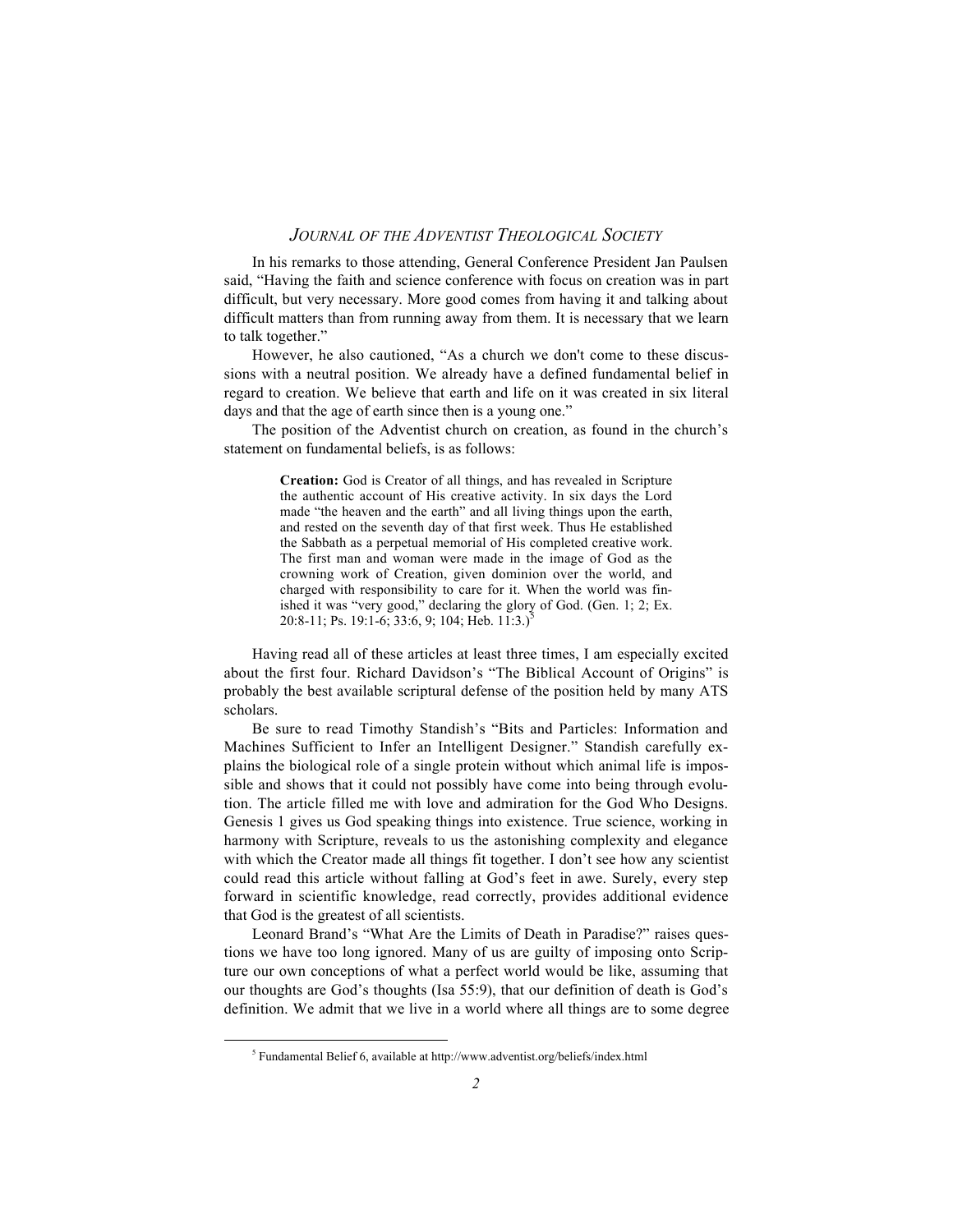## *JOURNAL OF THE ADVENTIST THEOLOGICAL SOCIETY*

In his remarks to those attending, General Conference President Jan Paulsen said, "Having the faith and science conference with focus on creation was in part difficult, but very necessary. More good comes from having it and talking about difficult matters than from running away from them. It is necessary that we learn to talk together."

However, he also cautioned, "As a church we don't come to these discussions with a neutral position. We already have a defined fundamental belief in regard to creation. We believe that earth and life on it was created in six literal days and that the age of earth since then is a young one."

The position of the Adventist church on creation, as found in the church's statement on fundamental beliefs, is as follows:

> **Creation:** God is Creator of all things, and has revealed in Scripture the authentic account of His creative activity. In six days the Lord made "the heaven and the earth" and all living things upon the earth, and rested on the seventh day of that first week. Thus He established the Sabbath as a perpetual memorial of His completed creative work. The first man and woman were made in the image of God as the crowning work of Creation, given dominion over the world, and charged with responsibility to care for it. When the world was finished it was "very good," declaring the glory of God. (Gen. 1; 2; Ex. 20:8-11; Ps. 19:1-6; 33:6, 9; 104; Heb. 11:3.)<sup>5</sup>

Having read all of these articles at least three times, I am especially excited about the first four. Richard Davidson's "The Biblical Account of Origins" is probably the best available scriptural defense of the position held by many ATS scholars.

Be sure to read Timothy Standish's "Bits and Particles: Information and Machines Sufficient to Infer an Intelligent Designer." Standish carefully explains the biological role of a single protein without which animal life is impossible and shows that it could not possibly have come into being through evolution. The article filled me with love and admiration for the God Who Designs. Genesis 1 gives us God speaking things into existence. True science, working in harmony with Scripture, reveals to us the astonishing complexity and elegance with which the Creator made all things fit together. I don't see how any scientist could read this article without falling at God's feet in awe. Surely, every step forward in scientific knowledge, read correctly, provides additional evidence that God is the greatest of all scientists.

Leonard Brand's "What Are the Limits of Death in Paradise?" raises questions we have too long ignored. Many of us are guilty of imposing onto Scripture our own conceptions of what a perfect world would be like, assuming that our thoughts are God's thoughts (Isa 55:9), that our definition of death is God's definition. We admit that we live in a world where all things are to some degree

 $\frac{1}{5}$ <sup>5</sup> Fundamental Belief 6, available at http://www.adventist.org/beliefs/index.html